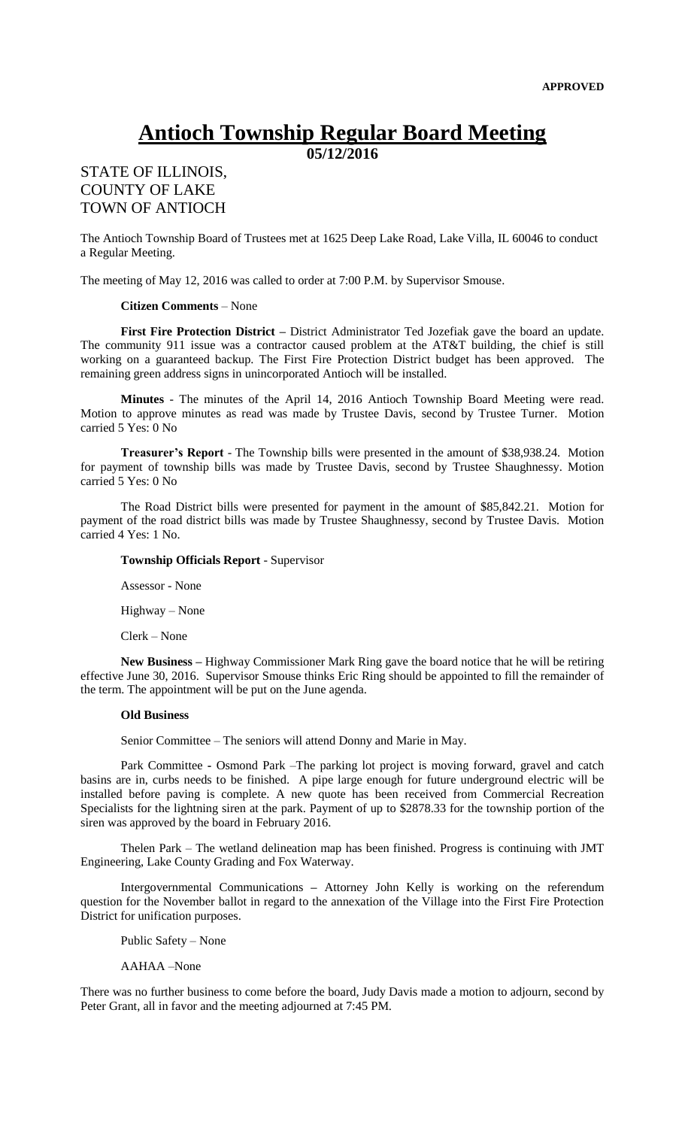# **Antioch Township Regular Board Meeting**

**05/12/2016**

## STATE OF ILLINOIS, COUNTY OF LAKE TOWN OF ANTIOCH

The Antioch Township Board of Trustees met at 1625 Deep Lake Road, Lake Villa, IL 60046 to conduct a Regular Meeting.

The meeting of May 12, 2016 was called to order at 7:00 P.M. by Supervisor Smouse.

#### **Citizen Comments** – None

**First Fire Protection District –** District Administrator Ted Jozefiak gave the board an update. The community 911 issue was a contractor caused problem at the AT&T building, the chief is still working on a guaranteed backup. The First Fire Protection District budget has been approved. The remaining green address signs in unincorporated Antioch will be installed.

**Minutes** - The minutes of the April 14, 2016 Antioch Township Board Meeting were read. Motion to approve minutes as read was made by Trustee Davis, second by Trustee Turner. Motion carried 5 Yes: 0 No

**Treasurer's Report** - The Township bills were presented in the amount of \$38,938.24. Motion for payment of township bills was made by Trustee Davis, second by Trustee Shaughnessy. Motion carried 5 Yes: 0 No

The Road District bills were presented for payment in the amount of \$85,842.21. Motion for payment of the road district bills was made by Trustee Shaughnessy, second by Trustee Davis. Motion carried 4 Yes: 1 No.

### **Township Officials Report** - Supervisor

Assessor - None

Highway – None

Clerk – None

**New Business –** Highway Commissioner Mark Ring gave the board notice that he will be retiring effective June 30, 2016. Supervisor Smouse thinks Eric Ring should be appointed to fill the remainder of the term. The appointment will be put on the June agenda.

#### **Old Business**

Senior Committee – The seniors will attend Donny and Marie in May.

Park Committee **-** Osmond Park –The parking lot project is moving forward, gravel and catch basins are in, curbs needs to be finished. A pipe large enough for future underground electric will be installed before paving is complete. A new quote has been received from Commercial Recreation Specialists for the lightning siren at the park. Payment of up to \$2878.33 for the township portion of the siren was approved by the board in February 2016.

Thelen Park – The wetland delineation map has been finished. Progress is continuing with JMT Engineering, Lake County Grading and Fox Waterway.

Intergovernmental Communications **–** Attorney John Kelly is working on the referendum question for the November ballot in regard to the annexation of the Village into the First Fire Protection District for unification purposes.

Public Safety – None

AAHAA –None

There was no further business to come before the board, Judy Davis made a motion to adjourn, second by Peter Grant, all in favor and the meeting adjourned at 7:45 PM.